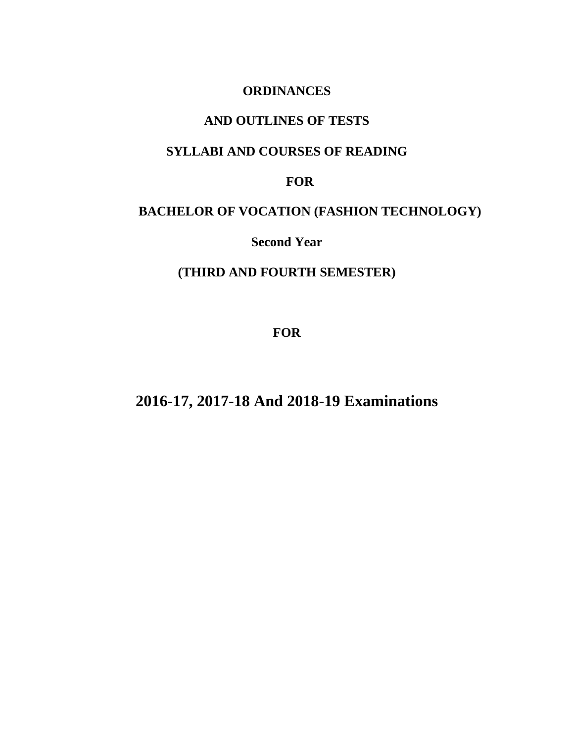# **ORDINANCES**

# **AND OUTLINES OF TESTS**

# **SYLLABI AND COURSES OF READING**

# **FOR**

# **BACHELOR OF VOCATION (FASHION TECHNOLOGY)**

**Second Year** 

# **(THIRD AND FOURTH SEMESTER)**

**FOR**

**2016-17, 2017-18 And 2018-19 Examinations**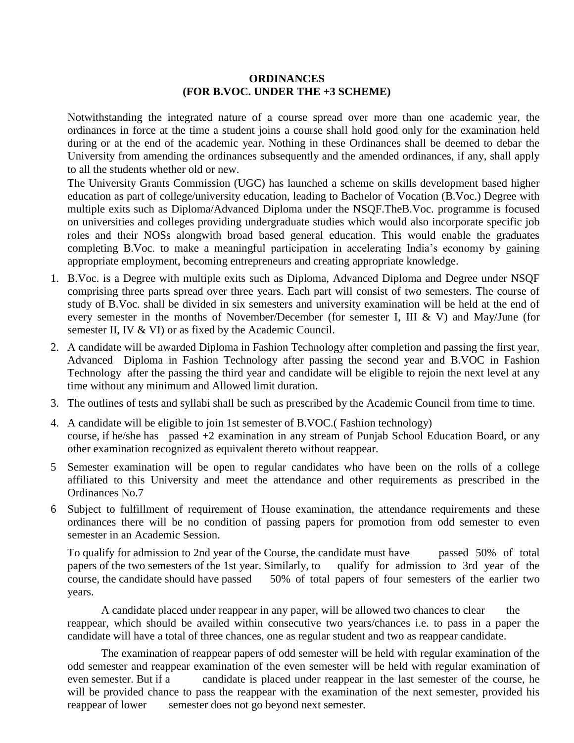### **ORDINANCES (FOR B.VOC. UNDER THE +3 SCHEME)**

Notwithstanding the integrated nature of a course spread over more than one academic year, the ordinances in force at the time a student joins a course shall hold good only for the examination held during or at the end of the academic year. Nothing in these Ordinances shall be deemed to debar the University from amending the ordinances subsequently and the amended ordinances, if any, shall apply to all the students whether old or new.

 The University Grants Commission (UGC) has launched a scheme on skills development based higher education as part of college/university education, leading to Bachelor of Vocation (B.Voc.) Degree with multiple exits such as Diploma/Advanced Diploma under the NSQF.TheB.Voc. programme is focused on universities and colleges providing undergraduate studies which would also incorporate specific job roles and their NOSs alongwith broad based general education. This would enable the graduates completing B.Voc. to make a meaningful participation in accelerating India's economy by gaining appropriate employment, becoming entrepreneurs and creating appropriate knowledge.

- 1. B.Voc. is a Degree with multiple exits such as Diploma, Advanced Diploma and Degree under NSQF comprising three parts spread over three years. Each part will consist of two semesters. The course of study of B.Voc. shall be divided in six semesters and university examination will be held at the end of every semester in the months of November/December (for semester I, III & V) and May/June (for semester II, IV & VI) or as fixed by the Academic Council.
- 2. A candidate will be awarded Diploma in Fashion Technology after completion and passing the first year, Advanced Diploma in Fashion Technology after passing the second year and B.VOC in Fashion Technology after the passing the third year and candidate will be eligible to rejoin the next level at any time without any minimum and Allowed limit duration.
- 3. The outlines of tests and syllabi shall be such as prescribed by the Academic Council from time to time.
- 4. A candidate will be eligible to join 1st semester of B.VOC.( Fashion technology) course, if he/she has passed +2 examination in any stream of Punjab School Education Board, or any other examination recognized as equivalent thereto without reappear.
- 5 Semester examination will be open to regular candidates who have been on the rolls of a college affiliated to this University and meet the attendance and other requirements as prescribed in the Ordinances No.7
- 6 Subject to fulfillment of requirement of House examination, the attendance requirements and these ordinances there will be no condition of passing papers for promotion from odd semester to even semester in an Academic Session.

To qualify for admission to 2nd year of the Course, the candidate must have passed 50% of total papers of the two semesters of the 1st year. Similarly, to qualify for admission to 3rd year of the course, the candidate should have passed 50% of total papers of four semesters of the earlier two years.

A candidate placed under reappear in any paper, will be allowed two chances to clear the reappear, which should be availed within consecutive two years/chances i.e. to pass in a paper the candidate will have a total of three chances, one as regular student and two as reappear candidate.

The examination of reappear papers of odd semester will be held with regular examination of the odd semester and reappear examination of the even semester will be held with regular examination of even semester. But if a candidate is placed under reappear in the last semester of the course, he will be provided chance to pass the reappear with the examination of the next semester, provided his reappear of lower semester does not go beyond next semester.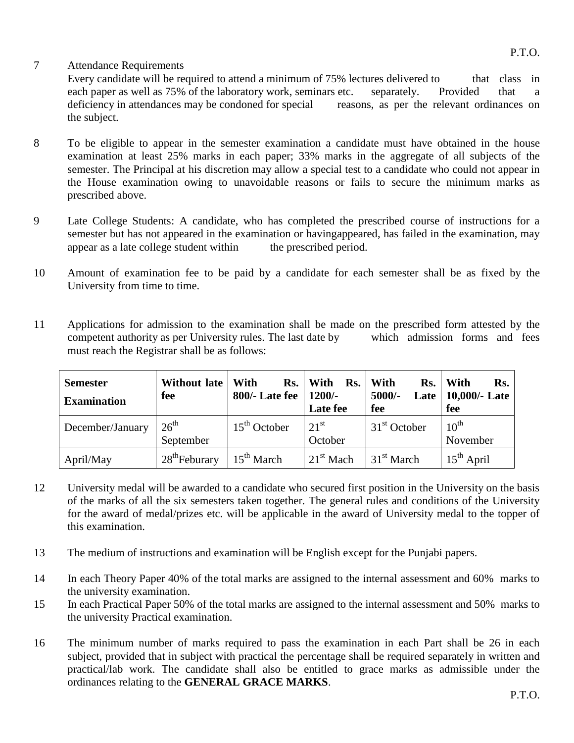# 7 Attendance Requirements

Every candidate will be required to attend a minimum of 75% lectures delivered to that class in each paper as well as 75% of the laboratory work, seminars etc. separately. Provided that a deficiency in attendances may be condoned for special reasons, as per the relevant ordinances on the subject.

- 8 To be eligible to appear in the semester examination a candidate must have obtained in the house examination at least 25% marks in each paper; 33% marks in the aggregate of all subjects of the semester. The Principal at his discretion may allow a special test to a candidate who could not appear in the House examination owing to unavoidable reasons or fails to secure the minimum marks as prescribed above.
- 9 Late College Students: A candidate, who has completed the prescribed course of instructions for a semester but has not appeared in the examination or havingappeared, has failed in the examination, may appear as a late college student within the prescribed period.
- 10 Amount of examination fee to be paid by a candidate for each semester shall be as fixed by the University from time to time.
- 11 Applications for admission to the examination shall be made on the prescribed form attested by the competent authority as per University rules. The last date by which admission forms and fees must reach the Registrar shall be as follows:

| <b>Semester</b><br><b>Examination</b> | Without late<br>fee           | With<br>Rs.<br>$800/-$ Late fee $\parallel$ | With<br>Rs.<br>$1200/-$<br>Late fee | With<br>$5000/-$<br>fee | Rs. With<br>Rs.<br>Late   $10,000$ /- Late<br>fee |
|---------------------------------------|-------------------------------|---------------------------------------------|-------------------------------------|-------------------------|---------------------------------------------------|
| December/January                      | $26^{\text{th}}$<br>September | $15th$ October                              | 21 <sup>st</sup><br>October         | $31st$ October          | $10^{\text{th}}$<br>November                      |
| April/May                             | $28^{\text{th}}$ Feburary     | $15^{\text{th}}$ March                      | $1^{st}$ Mach                       | $31st$ March            | $15^{th}$ April                                   |

- 12 University medal will be awarded to a candidate who secured first position in the University on the basis of the marks of all the six semesters taken together. The general rules and conditions of the University for the award of medal/prizes etc. will be applicable in the award of University medal to the topper of this examination.
- 13 The medium of instructions and examination will be English except for the Punjabi papers.
- 14 In each Theory Paper 40% of the total marks are assigned to the internal assessment and 60% marks to the university examination.
- 15 In each Practical Paper 50% of the total marks are assigned to the internal assessment and 50% marks to the university Practical examination.
- 16 The minimum number of marks required to pass the examination in each Part shall be 26 in each subject, provided that in subject with practical the percentage shall be required separately in written and practical/lab work. The candidate shall also be entitled to grace marks as admissible under the ordinances relating to the **GENERAL GRACE MARKS**.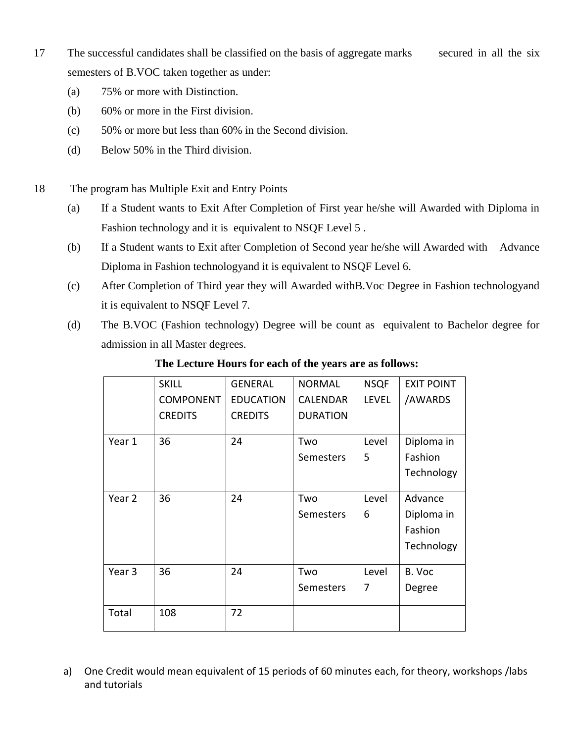- 17 The successful candidates shall be classified on the basis of aggregate marks secured in all the six semesters of B.VOC taken together as under:
	- (a) 75% or more with Distinction.
	- (b) 60% or more in the First division.
	- (c) 50% or more but less than 60% in the Second division.
	- (d) Below 50% in the Third division.
- 18 The program has Multiple Exit and Entry Points
	- (a) If a Student wants to Exit After Completion of First year he/she will Awarded with Diploma in Fashion technology and it is equivalent to NSQF Level 5 .
	- (b) If a Student wants to Exit after Completion of Second year he/she will Awarded with Advance Diploma in Fashion technologyand it is equivalent to NSQF Level 6.
	- (c) After Completion of Third year they will Awarded withB.Voc Degree in Fashion technologyand it is equivalent to NSQF Level 7.
	- (d) The B.VOC (Fashion technology) Degree will be count as equivalent to Bachelor degree for admission in all Master degrees.

|        | <b>SKILL</b>     | <b>GENERAL</b>   | <b>NORMAL</b>   | <b>NSQF</b>  | <b>EXIT POINT</b> |
|--------|------------------|------------------|-----------------|--------------|-------------------|
|        | <b>COMPONENT</b> | <b>EDUCATION</b> | <b>CALENDAR</b> | <b>LEVEL</b> | /AWARDS           |
|        | <b>CREDITS</b>   | <b>CREDITS</b>   | <b>DURATION</b> |              |                   |
| Year 1 | 36               | 24               | Two             | Level        | Diploma in        |
|        |                  |                  | Semesters       | 5            | Fashion           |
|        |                  |                  |                 |              | Technology        |
| Year 2 | 36               | 24               | Two             | Level        | Advance           |
|        |                  |                  | Semesters       | 6            | Diploma in        |
|        |                  |                  |                 |              | Fashion           |
|        |                  |                  |                 |              | Technology        |
| Year 3 | 36               | 24               | Two             | Level        | B. Voc            |
|        |                  |                  | Semesters       | 7            | Degree            |
| Total  | 108              | 72               |                 |              |                   |

# **The Lecture Hours for each of the years are as follows:**

a) One Credit would mean equivalent of 15 periods of 60 minutes each, for theory, workshops /labs and tutorials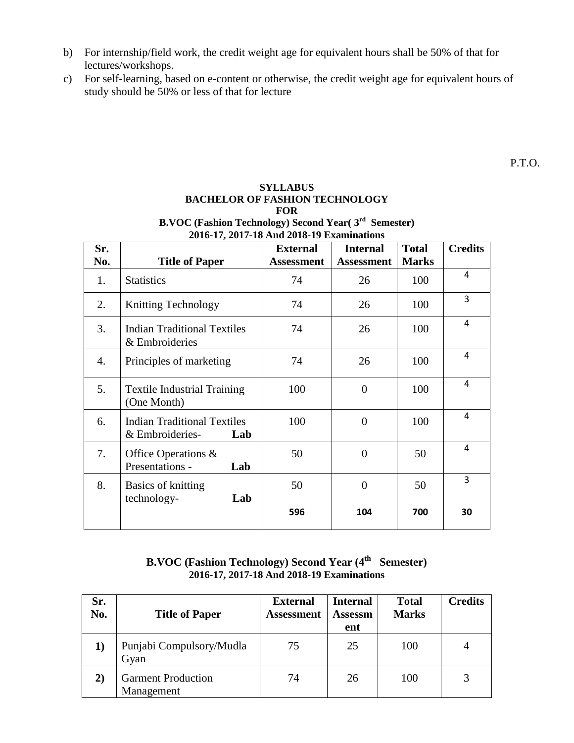- b) For internship/field work, the credit weight age for equivalent hours shall be 50% of that for lectures/workshops.
- c) For self-learning, based on e-content or otherwise, the credit weight age for equivalent hours of study should be 50% or less of that for lecture

#### **SYLLABUS BACHELOR OF FASHION TECHNOLOGY FOR B.VOC (Fashion Technology) Second Year( 3rd Semester) 2016-17, 2017-18 And 2018-19 Examinations**

| Sr.<br>No. | <b>Title of Paper</b>                                        | <b>External</b><br><b>Assessment</b> | <b>Internal</b><br><b>Assessment</b> | <b>Total</b><br><b>Marks</b> | <b>Credits</b> |
|------------|--------------------------------------------------------------|--------------------------------------|--------------------------------------|------------------------------|----------------|
|            |                                                              |                                      |                                      |                              |                |
| 1.         | <b>Statistics</b>                                            | 74                                   | 26                                   | 100                          | 4              |
| 2.         | <b>Knitting Technology</b>                                   | 74                                   | 26                                   | 100                          | 3              |
| 3.         | <b>Indian Traditional Textiles</b><br>& Embroideries         | 74                                   | 26                                   | 100                          | 4              |
| 4.         | Principles of marketing                                      | 74                                   | 26                                   | 100                          | 4              |
| 5.         | <b>Textile Industrial Training</b><br>(One Month)            | 100                                  | $\overline{0}$                       | 100                          | 4              |
| 6.         | <b>Indian Traditional Textiles</b><br>& Embroideries-<br>Lab | 100                                  | $\theta$                             | 100                          | 4              |
| 7.         | Office Operations $\&$<br>Presentations -<br>Lab             | 50                                   | $\theta$                             | 50                           | 4              |
| 8.         | Basics of knitting<br>technology-<br>Lab                     | 50                                   | $\overline{0}$                       | 50                           | 3              |
|            |                                                              | 596                                  | 104                                  | 700                          | 30             |

# **B.VOC (Fashion Technology) Second Year (4 th Semester) 2016-17, 2017-18 And 2018-19 Examinations**

| Sr.<br>No.   | <b>Title of Paper</b>                   | <b>External</b><br><b>Assessment</b> | <b>Internal</b><br><b>Assessm</b><br>ent | <b>Total</b><br><b>Marks</b> | <b>Credits</b> |
|--------------|-----------------------------------------|--------------------------------------|------------------------------------------|------------------------------|----------------|
|              | Punjabi Compulsory/Mudla<br>Gyan        | 75                                   | 25                                       | 100                          | 4              |
| $\mathbf{2}$ | <b>Garment Production</b><br>Management | 74                                   | 26                                       | 100                          | 3              |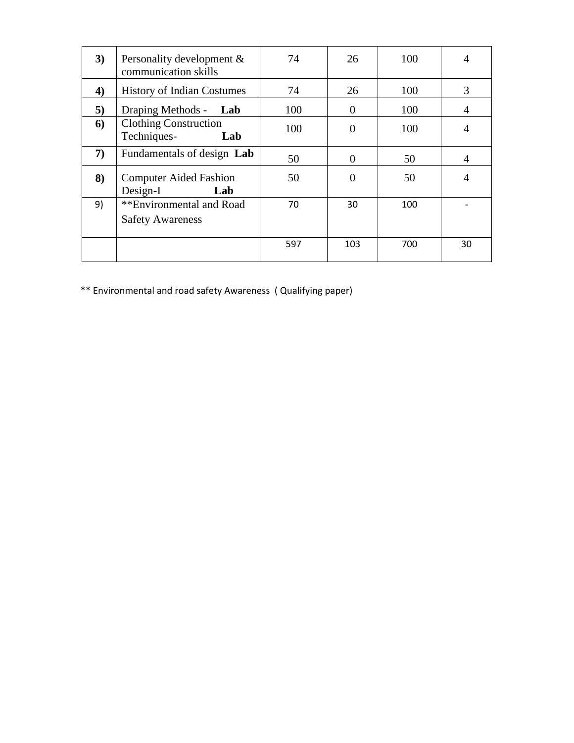| 3)               | Personality development $\&$<br>communication skills | 74  | 26       | 100 | 4              |
|------------------|------------------------------------------------------|-----|----------|-----|----------------|
| $\boldsymbol{4}$ | <b>History of Indian Costumes</b>                    | 74  | 26       | 100 | 3              |
| 5)               | Draping Methods - Lab                                | 100 | $\Omega$ | 100 | $\overline{A}$ |
| 6                | <b>Clothing Construction</b><br>Techniques-<br>Lab   | 100 | $\Omega$ | 100 | 4              |
| 7)               | Fundamentals of design Lab                           | 50  | $\Omega$ | 50  | $\overline{4}$ |
| 8)               | <b>Computer Aided Fashion</b><br>Design-I<br>Lab     | 50  | 0        | 50  | $\overline{4}$ |
| 9)               | **Environmental and Road<br><b>Safety Awareness</b>  | 70  | 30       | 100 |                |
|                  |                                                      | 597 | 103      | 700 | 30             |

\*\* Environmental and road safety Awareness ( Qualifying paper)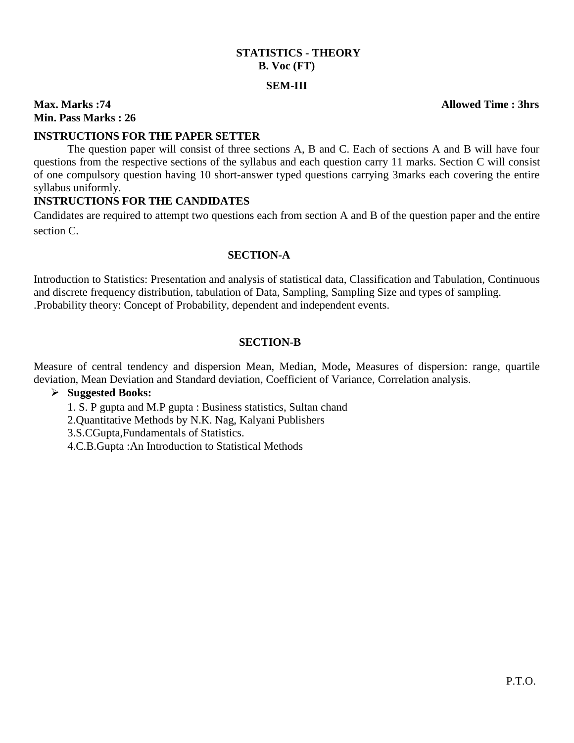# **STATISTICS - THEORY B. Voc (FT) SEM-III**

# **Max. Marks :74 Allowed Time : 3hrs Min. Pass Marks : 26**

#### **INSTRUCTIONS FOR THE PAPER SETTER**

The question paper will consist of three sections A, B and C. Each of sections A and B will have four questions from the respective sections of the syllabus and each question carry 11 marks. Section C will consist of one compulsory question having 10 short-answer typed questions carrying 3marks each covering the entire syllabus uniformly.

#### **INSTRUCTIONS FOR THE CANDIDATES**

Candidates are required to attempt two questions each from section A and B of the question paper and the entire section C.

#### **SECTION-A**

Introduction to Statistics: Presentation and analysis of statistical data, Classification and Tabulation, Continuous and discrete frequency distribution, tabulation of Data, Sampling, Sampling Size and types of sampling. .Probability theory: Concept of Probability, dependent and independent events.

#### **SECTION-B**

Measure of central tendency and dispersion Mean, Median, Mode**,** Measures of dispersion: range, quartile deviation, Mean Deviation and Standard deviation, Coefficient of Variance, Correlation analysis.

#### **Suggested Books:**

- 1. S. P gupta and M.P gupta : Business statistics, Sultan chand
- 2.Quantitative Methods by N.K. Nag, Kalyani Publishers
- 3.S.CGupta,Fundamentals of Statistics.
- 4.C.B.Gupta :An Introduction to Statistical Methods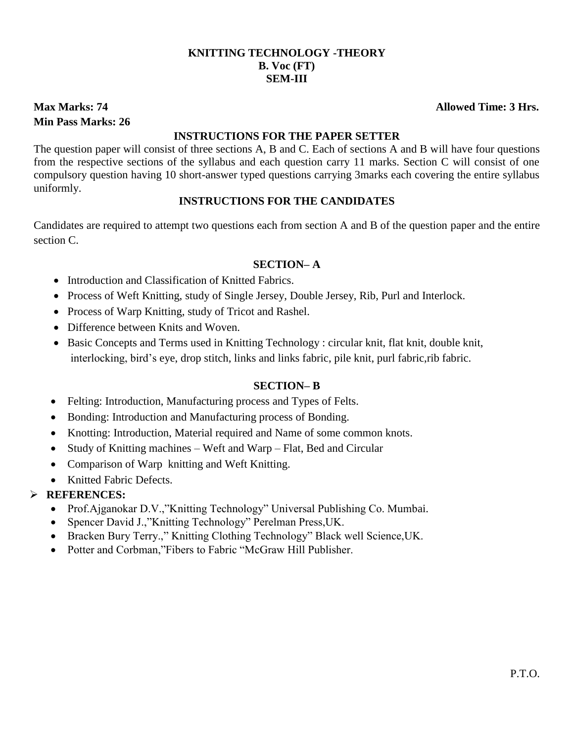# **KNITTING TECHNOLOGY -THEORY B. Voc (FT) SEM-III**

# **Min Pass Marks: 26**

#### **INSTRUCTIONS FOR THE PAPER SETTER**

The question paper will consist of three sections A, B and C. Each of sections A and B will have four questions from the respective sections of the syllabus and each question carry 11 marks. Section C will consist of one compulsory question having 10 short-answer typed questions carrying 3marks each covering the entire syllabus uniformly.

# **INSTRUCTIONS FOR THE CANDIDATES**

Candidates are required to attempt two questions each from section A and B of the question paper and the entire section C.

# **SECTION– A**

- Introduction and Classification of Knitted Fabrics.
- Process of Weft Knitting, study of Single Jersey, Double Jersey, Rib, Purl and Interlock.
- Process of Warp Knitting, study of Tricot and Rashel.
- Difference between Knits and Woven.
- Basic Concepts and Terms used in Knitting Technology : circular knit, flat knit, double knit, interlocking, bird's eye, drop stitch, links and links fabric, pile knit, purl fabric,rib fabric.

# **SECTION– B**

- Felting: Introduction, Manufacturing process and Types of Felts.
- Bonding: Introduction and Manufacturing process of Bonding.
- Knotting: Introduction, Material required and Name of some common knots.
- Study of Knitting machines Weft and Warp Flat, Bed and Circular
- Comparison of Warp knitting and Weft Knitting.
- Knitted Fabric Defects.

# **REFERENCES:**

- Prof.Ajganokar D.V.,"Knitting Technology" Universal Publishing Co. Mumbai.
- Spencer David J.,"Knitting Technology" Perelman Press,UK.
- Bracken Bury Terry.," Knitting Clothing Technology" Black well Science,UK.
- Potter and Corbman,"Fibers to Fabric "McGraw Hill Publisher.

# **Max Marks: 74** Allowed Time: 3 Hrs.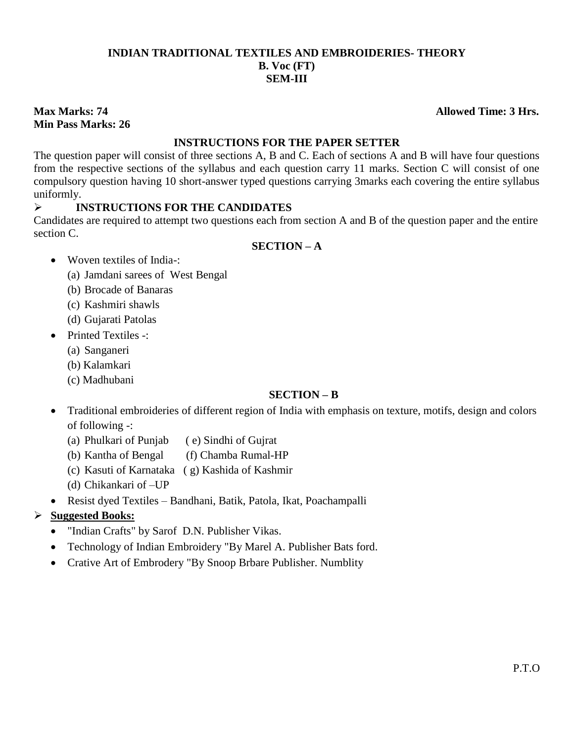# **INDIAN TRADITIONAL TEXTILES AND EMBROIDERIES- THEORY B. Voc (FT) SEM-III**

# **Min Pass Marks: 26**

# **INSTRUCTIONS FOR THE PAPER SETTER**

The question paper will consist of three sections A, B and C. Each of sections A and B will have four questions from the respective sections of the syllabus and each question carry 11 marks. Section C will consist of one compulsory question having 10 short-answer typed questions carrying 3marks each covering the entire syllabus uniformly.

# **INSTRUCTIONS FOR THE CANDIDATES**

Candidates are required to attempt two questions each from section A and B of the question paper and the entire section C.

# **SECTION – A**

- Woven textiles of India-:
	- (a) Jamdani sarees of West Bengal
	- (b) Brocade of Banaras
	- (c) Kashmiri shawls
	- (d) Gujarati Patolas
- Printed Textiles -:
	- (a) Sanganeri
	- (b) Kalamkari
	- (c) Madhubani

# **SECTION – B**

- Traditional embroideries of different region of India with emphasis on texture, motifs, design and colors of following -:
	- (a) Phulkari of Punjab ( e) Sindhi of Gujrat
	- (b) Kantha of Bengal (f) Chamba Rumal-HP
	- (c) Kasuti of Karnataka ( g) Kashida of Kashmir
	- (d) Chikankari of –UP
- Resist dyed Textiles Bandhani, Batik, Patola, Ikat, Poachampalli
- **Suggested Books:**
	- "Indian Crafts" by Sarof D.N. Publisher Vikas.
	- Technology of Indian Embroidery "By Marel A. Publisher Bats ford.
	- Crative Art of Embrodery "By Snoop Brbare Publisher. Numblity

**Max Marks: 74 Allowed Time: 3 Hrs.**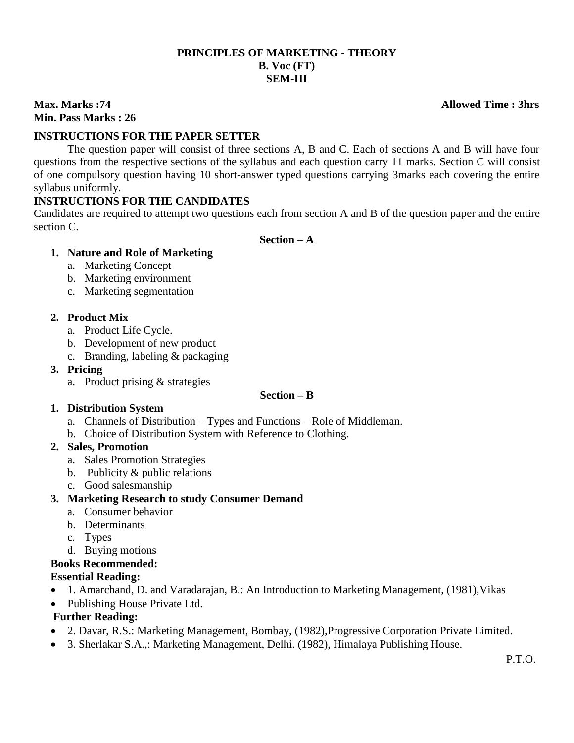# **PRINCIPLES OF MARKETING - THEORY B. Voc (FT) SEM-III**

# **Min. Pass Marks : 26**

### **INSTRUCTIONS FOR THE PAPER SETTER**

The question paper will consist of three sections A, B and C. Each of sections A and B will have four questions from the respective sections of the syllabus and each question carry 11 marks. Section C will consist of one compulsory question having 10 short-answer typed questions carrying 3marks each covering the entire syllabus uniformly.

#### **INSTRUCTIONS FOR THE CANDIDATES**

Candidates are required to attempt two questions each from section A and B of the question paper and the entire section C.

#### **Section – A**

#### **1. Nature and Role of Marketing**

- a. Marketing Concept
- b. Marketing environment
- c. Marketing segmentation

#### **2. Product Mix**

- a. Product Life Cycle.
- b. Development of new product
- c. Branding, labeling & packaging
- **3. Pricing**
	- a. Product prising & strategies

#### **Section – B**

#### **1. Distribution System**

- a. Channels of Distribution Types and Functions Role of Middleman.
- b. Choice of Distribution System with Reference to Clothing.

#### **2. Sales, Promotion**

- a. Sales Promotion Strategies
- b. Publicity & public relations
- c. Good salesmanship

# **3. Marketing Research to study Consumer Demand**

- a. Consumer behavior
- b. Determinants
- c. Types
- d. Buying motions

# **Books Recommended:**

# **Essential Reading:**

- 1. Amarchand, D. and Varadarajan, B.: An Introduction to Marketing Management, (1981),Vikas
- Publishing House Private Ltd.

# **Further Reading:**

- 2. Davar, R.S.: Marketing Management, Bombay, (1982),Progressive Corporation Private Limited.
- 3. Sherlakar S.A.,: Marketing Management, Delhi. (1982), Himalaya Publishing House.

### **Max. Marks :74 Allowed Time : 3hrs**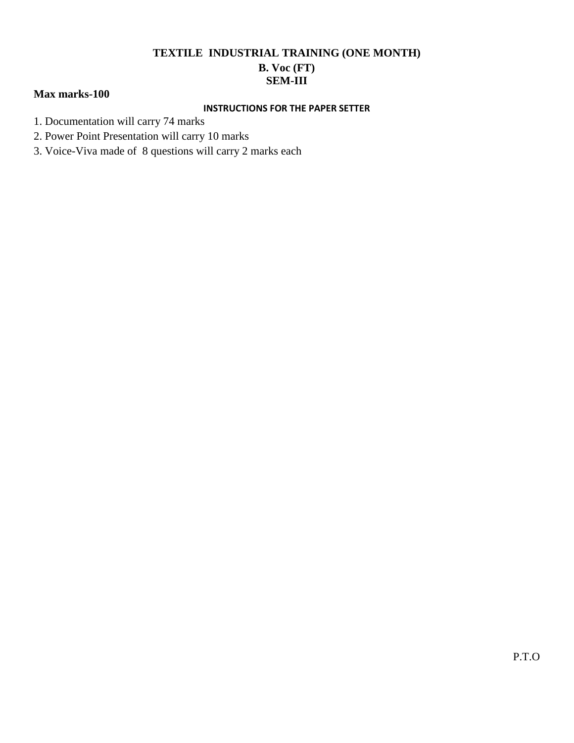# **TEXTILE INDUSTRIAL TRAINING (ONE MONTH)**

# **B. Voc (FT) SEM-III**

# **Max marks-100**

#### **INSTRUCTIONS FOR THE PAPER SETTER**

- 1. Documentation will carry 74 marks
- 2. Power Point Presentation will carry 10 marks
- 3. Voice-Viva made of 8 questions will carry 2 marks each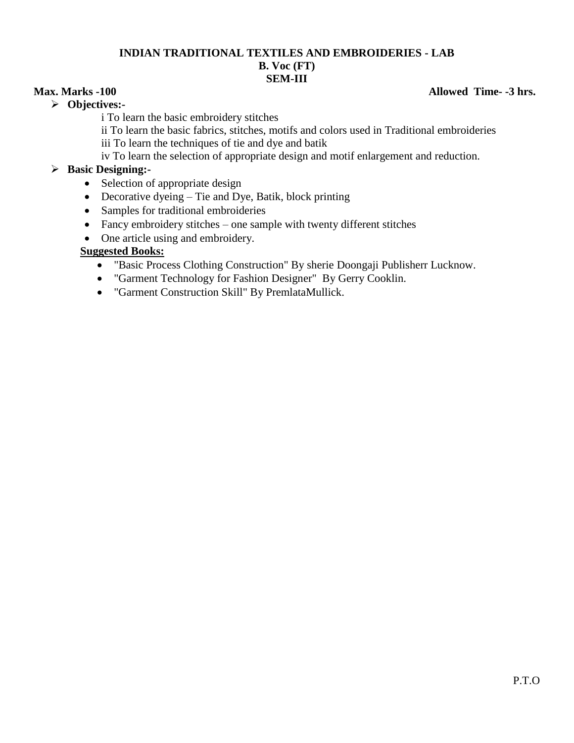### **INDIAN TRADITIONAL TEXTILES AND EMBROIDERIES - LAB B. Voc (FT) SEM-III**

#### **Objectives:-**

i To learn the basic embroidery stitches

ii To learn the basic fabrics, stitches, motifs and colors used in Traditional embroideries iii To learn the techniques of tie and dye and batik

iv To learn the selection of appropriate design and motif enlargement and reduction.

# **Basic Designing:-**

- Selection of appropriate design
- Decorative dyeing Tie and Dye, Batik, block printing
- Samples for traditional embroideries
- Fancy embroidery stitches one sample with twenty different stitches
- One article using and embroidery.

# **Suggested Books:**

- "Basic Process Clothing Construction" By sherie Doongaji Publisherr Lucknow.
- "Garment Technology for Fashion Designer" By Gerry Cooklin.
- "Garment Construction Skill" By PremlataMullick.

# **Max.** Marks -100 **Allowed Time-** -3 hrs.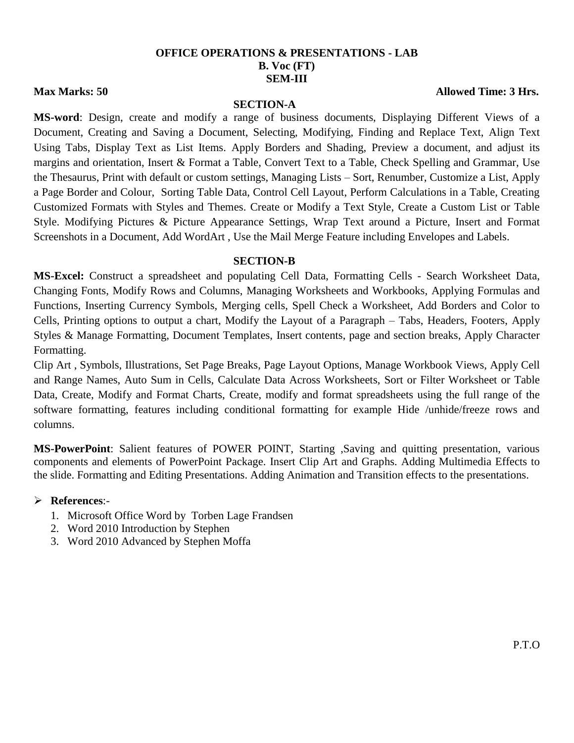#### **OFFICE OPERATIONS & PRESENTATIONS - LAB B. Voc (FT) SEM-III**

#### **SECTION-A**

**Max Marks: 50 Allowed Time: 3 Hrs.** 

**MS-word**: Design, create and modify a range of business documents, Displaying Different Views of a Document, Creating and Saving a Document, Selecting, Modifying, Finding and Replace Text, Align Text Using Tabs, Display Text as List Items. Apply Borders and Shading, Preview a document, and adjust its margins and orientation, Insert & Format a Table, Convert Text to a Table, Check Spelling and Grammar, Use the Thesaurus, Print with default or custom settings, Managing Lists – Sort, Renumber, Customize a List, Apply a Page Border and Colour, Sorting Table Data, Control Cell Layout, Perform Calculations in a Table, Creating Customized Formats with Styles and Themes. Create or Modify a Text Style, Create a Custom List or Table Style. Modifying Pictures & Picture Appearance Settings, Wrap Text around a Picture, Insert and Format Screenshots in a Document, Add WordArt , Use the Mail Merge Feature including Envelopes and Labels.

#### **SECTION-B**

**MS-Excel:** Construct a spreadsheet and populating Cell Data, Formatting Cells - Search Worksheet Data, Changing Fonts, Modify Rows and Columns, Managing Worksheets and Workbooks, Applying Formulas and Functions, Inserting Currency Symbols, Merging cells, Spell Check a Worksheet, Add Borders and Color to Cells, Printing options to output a chart, Modify the Layout of a Paragraph – Tabs, Headers, Footers, Apply Styles & Manage Formatting, Document Templates, Insert contents, page and section breaks, Apply Character Formatting.

Clip Art , Symbols, Illustrations, Set Page Breaks, Page Layout Options, Manage Workbook Views, Apply Cell and Range Names, Auto Sum in Cells, Calculate Data Across Worksheets, Sort or Filter Worksheet or Table Data, Create, Modify and Format Charts, Create, modify and format spreadsheets using the full range of the software formatting, features including conditional formatting for example Hide /unhide/freeze rows and columns.

**MS-PowerPoint**: Salient features of POWER POINT, Starting ,Saving and quitting presentation, various components and elements of PowerPoint Package. Insert Clip Art and Graphs. Adding Multimedia Effects to the slide. Formatting and Editing Presentations. Adding Animation and Transition effects to the presentations.

#### **References**:-

- 1. Microsoft Office Word by Torben Lage Frandsen
- 2. Word 2010 Introduction by Stephen
- 3. Word 2010 Advanced by Stephen Moffa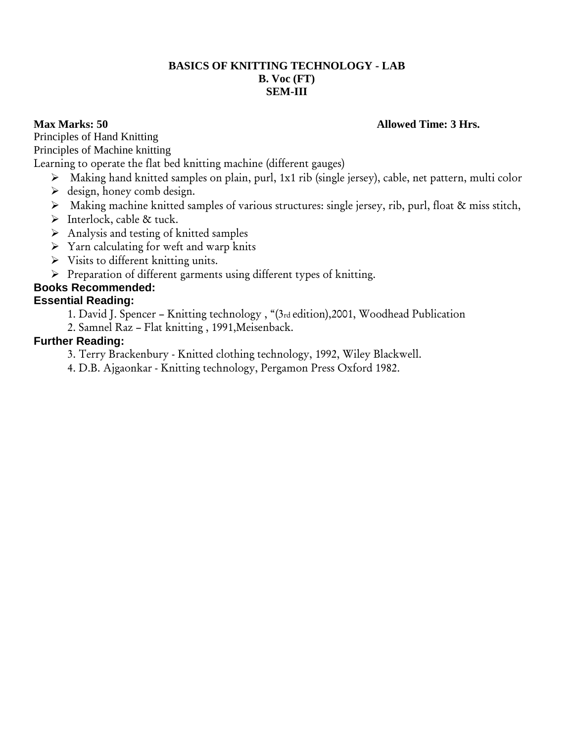# **BASICS OF KNITTING TECHNOLOGY - LAB B. Voc (FT) SEM-III**

# **Max Marks: 50 Allowed Time: 3 Hrs.**

Principles of Hand Knitting Principles of Machine knitting

Learning to operate the flat bed knitting machine (different gauges)

- Making hand knitted samples on plain, purl, 1x1 rib (single jersey), cable, net pattern, multi color
- $\triangleright$  design, honey comb design.
- Making machine knitted samples of various structures: single jersey, rib, purl, float & miss stitch,
- $\triangleright$  Interlock, cable & tuck.
- $\triangleright$  Analysis and testing of knitted samples
- $\triangleright$  Yarn calculating for weft and warp knits
- $\triangleright$  Visits to different knitting units.
- $\triangleright$  Preparation of different garments using different types of knitting.

# **Books Recommended:**

# **Essential Reading:**

1. David J. Spencer – Knitting technology , "(3rd edition),2001, Woodhead Publication

2. Samnel Raz – Flat knitting , 1991,Meisenback.

# **Further Reading:**

- 3. Terry Brackenbury Knitted clothing technology, 1992, Wiley Blackwell.
- 4. D.B. Ajgaonkar Knitting technology, Pergamon Press Oxford 1982.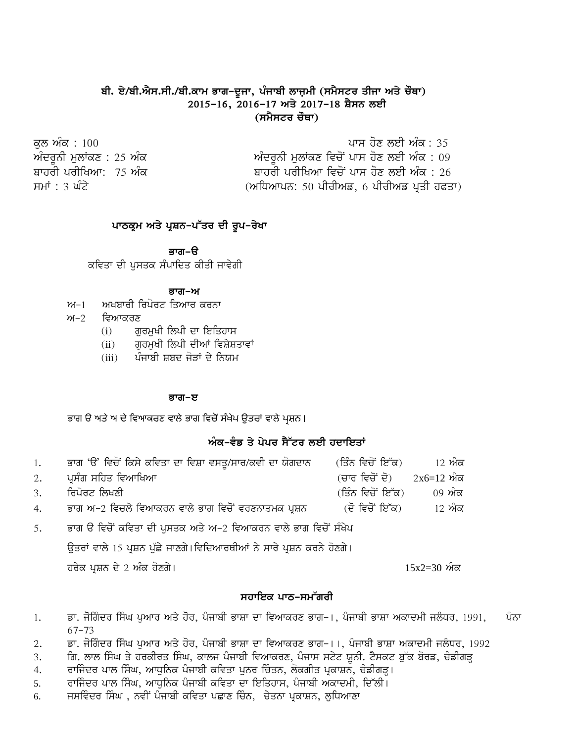# **ਬੀ. ਏ/ਬੀ.ਐਸ.ਸੀ./ਬੀ.ਕਾਮ ਭਾਗ-ਦੂਜਾ, ਪੰਜਾਬੀ** ਲਾਜ਼ਮੀ (ਸਮੈਸਟਰ ਤੀਜਾ ਅਤੇ ਚੌਥਾ) **2015-16, 2016-17 ਅਤੇ 2017-18 ਸ਼ੈਸਨ ਲਈ** (ਸਮੈਸਟਰ ਚੌਥਾ)

| ਕਲ ਅੰਕ : 100                | ਪਾਸ ਹੋਣ ਲਈ ਅੰਕ : 35                      |
|-----------------------------|------------------------------------------|
| ਅੰਦਰੂਨੀ ਮੁਲਾਂਕਣ : 25 ਅੰਕ    | ਅੰਦਰਨੀ ਮਲਾਂਕਣ ਵਿਚੋਂ ਪਾਸ ਹੋਣ ਲਈ ਅੰਕ : 09  |
| ਬਾਹਰੀ ਪਰੀਖਿਆ: <i>75 ਅੰਕ</i> | ਬਾਹਰੀ ਪਰੀਖਿਆ ਵਿਚੋਂ ਪਾਸ ਹੋਣ ਲਈ ਅੰਕ : 26   |
| ਸਮਾਂ : 3 ਘੰਟੇ               | (ਅਧਿਆਪਨ: 50 ਪੀਰੀਅਡ, 6 ਪੀਰੀਅਡ ਪ੍ਰਤੀ ਹਫਤਾ) |

#### ਪਾਠਕ੍ਰਮ ਅਤੇ ਪ੍ਰਸ਼ਨ-ਪੱਤਰ ਦੀ ਰੂਪ-ਰੇਖ<u>ਾ</u>

<u>ਭਾਗ–ੳ</u>

ਕਵਿਤਾ ਦੀ ਪਸਤਕ ਸੰਪਾਦਿਤ ਕੀਤੀ ਜਾਵੇਗੀ

#### ਭਾਗ–ਅ

- $m-1$  ਅਖਬਾਰੀ ਰਿਪੋਰਟ ਤਿਆਰ ਕਰਨਾ
- $m-2$  ਵਿਆਕਰਣ
	- $(i)$  ਗਰਮਖੀ ਲਿਪੀ ਦਾ ਇਤਿਹਾਸ
	- $(ii)$  ਗੁਰਮੁਖੀ ਲਿਪੀ ਦੀਆਂ ਵਿਸ਼ੇਸ਼ਤਾਵਾਂ
	- (iii) ਪੰਜਾਬੀ ਸ਼ਬਦ ਜੋੜਾਂ ਦੇ ਨਿਯਮ

#### ਭਾਗ–ੲ

ਭਾਗ ੳ ਅਤੇ ਅ ਦੇ ਵਿਆਕਰਣ ਵਾਲੇ ਭਾਗ ਵਿਚੋਂ ਸੰਖੇਪ ਉਤਰਾਂ ਵਾਲੇ ਪਸ਼ਨ।

#### ਅੰਕ-ਵੰਡ ਤੇ ਪੇਪਰ ਸੈੱਟਰ ਲਈ ਹਦਾਇਤਾਂ

| 1. |                                                       |                                |        |
|----|-------------------------------------------------------|--------------------------------|--------|
|    | 2. ਪੁਸੰਗ ਸਹਿਤ ਵਿਆਖਿਆ                                  | (ਚਾਰ ਵਿਚੋਂ ਦੋ) $2x6=12$ ਅੰਕ    |        |
|    | 3. ਰਿਪੋਰਟ ਲਿਖਣੀ                                       | (ਤਿੰਨ ਵਿਚੋਂ ਇੱਕ)        09 ਅੰਕ |        |
|    | 4. ਭਾਗ ਅ−2 ਵਿਚਲੇ ਵਿਆਕਰਨ ਵਾਲੇ ਭਾਗ ਵਿਚੋਂ ਵਰਣਨਾਤਮਕ ਪੁਸ਼ਨ | (ਦੋ ਵਿਚੋਂ ਇੱਕ)                 | 12 ਅੰਕ |

5. ਭਾਗ ੳ ਵਿਚੋਂ ਕਵਿਤਾ ਦੀ ਪੁਸਤਕ ਅਤੇ ਅ-2 ਵਿਆਕਰਨ ਵਾਲੇ ਭਾਗ ਵਿਚੋਂ ਸੰਖੇਪ

ਉਤਰਾਂ ਵਾਲੇ 15 ਪ੍ਰਸ਼ਨ ਪੁੱਛੇ ਜਾਣਗੇ।ਵਿਦਿਆਰਥੀਆਂ ਨੇ ਸਾਰੇ ਪ੍ਰਸ਼ਨ ਕਰਨੇ ਹੋਣਗੇ।

ਹਰੇਕ ਪ੍ਰਸ਼ਨ ਦੇ 2 ਅੰਕ ਹੋਣਗੇ। ਇਹ ਸਾਰੇ ਵਿੱਚ ਸ਼ਾਹਿ ਹਨ ਅਤੇ ਬਾਅਦ 15x2=30 ਅੰਕ

#### ਸਹਾਇਕ ਪਾਨ-ਸਮੱਗ<u>ਰੀ</u>

- 1. ਭਾ. ਜੋਗਿੰਦਰ ਸਿੰਘ ਪੁਆਰ ਅਤੇ ਹੋਰ, ਪੰਜਾਬੀ ਭਾਸ਼ਾ ਦਾ ਵਿਆਕਰਣ ਭਾਗ−।, ਪੰਜਾਬੀ ਭਾਸ਼ਾ ਅਕਾਦਮੀ ਜਲੰਧਰ, 1991, ਪੰਨਾ 67^73
- 2. ਭਾ. ਜੋਗਿੰਦਰ ਸਿੰਘ ਪਆਰ ਅਤੇ ਹੋਰ, ਪੰਜਾਬੀ ਭਾਸ਼ਾ ਦਾ ਵਿਆਕਰਣ ਭਾਗ−।।, ਪੰਜਾਬੀ ਭਾਸ਼ਾ ਅਕਾਦਮੀ ਜਲੰਧਰ, 1992
- 3. ਗਿ. ਲਾਲ ਸਿੰਘ ਤੇ ਹਰਕੀਰਤ ਸਿੰਘ, ਕਾਲਜ ਪੰਜਾਬੀ ਵਿਆਕਰਣ, ਪੰਜਾਸ ਸਟੇਟ ਯੂਨੀ. ਟੈਸਕਟ ਬੁੱਕ ਬੋਰਡ, ਚੰਡੀਗੜ੍ਹ
- 4. ਰਾਜਿੰਦਰ ਪਾਲ ਸਿੰਘ, ਆਧੁਨਿਕ ਪੰਜਾਬੀ ਕਵਿਤਾ ਪੁਨਰ ਚਿੰਤਨ, ਲੋਕਗੀਤ ਪ੍ਰਕਾਸ਼ਨ, ਚੰਡੀਗੜ੍ਹ।
- 5. ਰਾਜਿੰਦਰ ਪਾਲ ਸਿੰਘ, ਆਧਨਿਕ ਪੰਜਾਬੀ ਕਵਿਤਾ ਦਾ ਇਤਿਹਾਸ, ਪੰਜਾਬੀ ਅਕਾਦਮੀ, ਦਿੱਲੀ।
- 6. ਜਸਵਿੰਦਰ ਸਿੰਘ , ਨਵੀਂ ਪੰਜਾਬੀ ਕਵਿਤਾ ਪਛਾਣ ਚਿੰਨ, ਚੇਤਨਾ ਪ੍ਰਕਾਸ਼ਨ, ਲੁਧਿਆਣਾ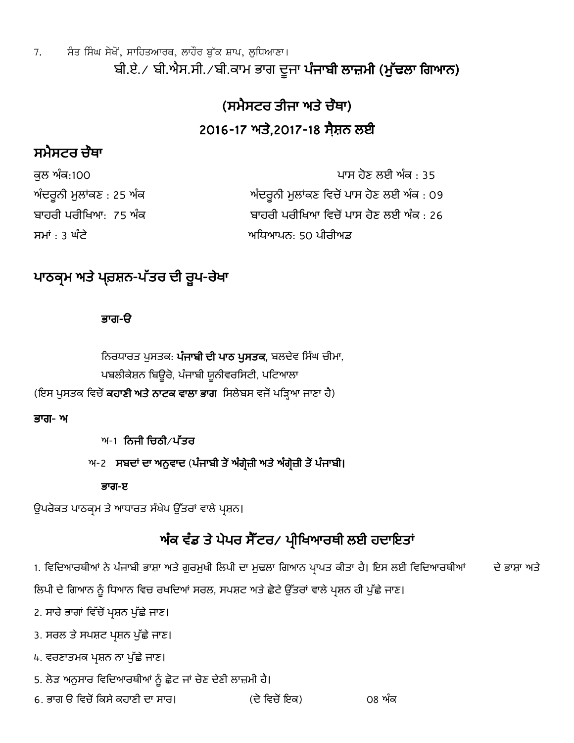7. ਸੰਤ ਸਿੰਘ ਸੇਖੋਂ, ਸਾਹਿਤਆਰਥ, ਲਾਹੌਰ ਬੁੱਕ ਸ਼ਾਪ, ਲੁਧਿਆਣਾ। ਬੀ.ਏ./ ਬੀ.ਐਸ.ਸੀ./ਬੀ.ਕਾਮ ਭਾਗ ਦੂਜਾ ਪੰਜਾਬੀ ਲਾਜ਼ਮੀ (ਮੁੱਢਲਾ ਗਿਆਨ)

# (ਸਮੈਸਟਰ ਤੀਜਾ ਅਤੇ ਚੌਥਾ) 2016-17 ਅਤੇ.2017-18 ਸੈਸ਼ਨ ਲਈ

# ਸਮੈਸਟਰ ਚੇਥਾ

| ਕੁਲ ਅੰਕ:100              | ਪਾਸ ਹੋਣ ਲਈ ਅੰਕ : 35                       |
|--------------------------|-------------------------------------------|
| ਅੰਦਰੂਨੀ ਮੁਲਾਂਕਣ : 25 ਅੰਕ | ਅੰਦਰੂਨੀ ਮੁਲਾਂਕਣ ਵਿਚੋਂ ਪਾਸ ਹੋਣ ਲਈ ਅੰਕ : 09 |
| ਬਾਹਰੀ ਪਰੀਖਿਆ: 75 ਅੰਕ     | ਬਾਹਰੀ ਪਰੀਖਿਆ ਵਿਚੋਂ ਪਾਸ ਹੋਣ ਲਈ ਅੰਕ : 26    |
| ਸਮਾਂ : 3 ਘੰਟ <u>ੇ</u>    | ਅਧਿਆਪਨ: 50 ਪੀਰੀਅਡ                         |

# ਪਾਠਕ੍ਰਮ ਅਤੇ ਪ੍ਰ਼ਤਸ਼ਨ-ਪੱਤਰ ਦੀ ਰੁਪ-ਰੇਖਾ

# ਭਗ-ੳ

ਨਿਰਧਾਰਤ ਪੁਸਤਕ: ਪੰਜਾਬੀ ਦੀ ਪਾਠ ਪੁਸਤਕ, ਬਲਦੇਵ ਸਿੰਘ ਚੀਮਾ, ਪਬਲੀਕੇਸ਼ਨ ਬਿਊਰੋ, ਪੰਜਾਬੀ ਯੂਨੀਵਰਸਿਟੀ, ਪਟਿਆਲਾ (ਇਸ ਪੁਸਤਕ ਵਿਚੋਂ **ਕਹਾਣੀ ਅਤੇ ਨਾਟਕ ਵਾਲਾ ਭਾਗ** ਸਿਲੇਬਸ ਵਜੋਂ ਪੜ੍ਹਿਆ ਜਾਣਾ ਹੈ)

# ਭਗ- ਅ

ਅ-1 ਨਿਜੀ ਚਿਠੀ $\overline{V}$ ਪੱਤਰ

ਅ-2 ਸਬਦਾਂ ਦਾ ਅਨੁਵਾਦ (ਪੰਜਾਬੀ ਤੋਂ ਅੰਗ੍ਰੇਜ਼ੀ ਅਤੇ ਅੰਗ੍ਰੇਜ਼ੀ ਤੋਂ ਪੰਜਾਬੀ।

# ਭਗ-ੲ

ਉਪਰੋਕਤ ਪਾਠਕ੍ਰਮ ਤੇ ਆਧਾਰਤ ਸੰਖੇਪ ਉੱਤਰਾਂ ਵਾਲੇ ਪ੍ਰਸ਼ਨ।

# ਅੰਕ ਵੰਡ ਤੇ ਪੇਪਰ ਸੈੱਟਰ/ ਪ੍ਰੀਖਿਆਰਥੀ ਲਈ ਹਦਾਇਤਾਂ

1. ਵਿਦਿਆਰਥੀਆਂ ਨੇ ਪੰਜਾਬੀ ਭਾਸ਼ਾ ਅਤੇ ਗੁਰਮੁਖੀ ਲਿਪੀ ਦਾ ਮੁਢਲਾ ਗਿਆਨ ਪਾਪਤ ਕੀਤਾ ਹੈ। ਇਸ ਲਈ ਵਿਦਿਆਰਥੀਆਂ ਦੇ ਭਾਸ਼ਾ ਅਤੇ

ਲਿਪੀ ਦੇ ਗਿਆਨ ਨੂੰ ਧਿਆਨ ਵਿਚ ਰਖਦਿਆਂ ਸਰਲ, ਸਪਸ਼ਟ ਅਤੇ ਛੋਟੇ ਉੱਤਰਾਂ ਵਾਲੇ ਪ੍ਰਸ਼ਨ ਹੀ ਪੁੱਛੇ ਜਾਣ।

2. ਸਾਰੇ ਭਾਗਾਂ ਵਿੱਚੋਂ ਪ੍ਰਸ਼ਨ ਪੁੱਛੇ ਜਾਣ।

3. ਸਰਲ ਤੇ ਸਪਸ਼ਟ ਪਸ਼ਨ ਪੁੱਛੇ ਜਾਣ।

4. ਵਰਣਾਤਮਕ ਪ੍ਰਸ਼ਨ ਨਾ ਪੁੱਛੇ ਜਾਣ।

5. ਲੋੜ ਅਨੁਸਾਰ ਵਿਦਿਆਰਥੀਆਂ ਨੂੰ ਛੋਟ ਜਾਂ ਚੋਣ ਦੇਣੀ ਲਾਜ਼ਮੀ ਹੈ।

6. ਭਾਗ ੳ ਵਿਚੋਂ ਕਿਸੇ ਕਹਾਣੀ ਦਾ ਸਾਰ। (ਦੋ ਵਿਚੋਂ ਇਕ) 08 ਅੰਕ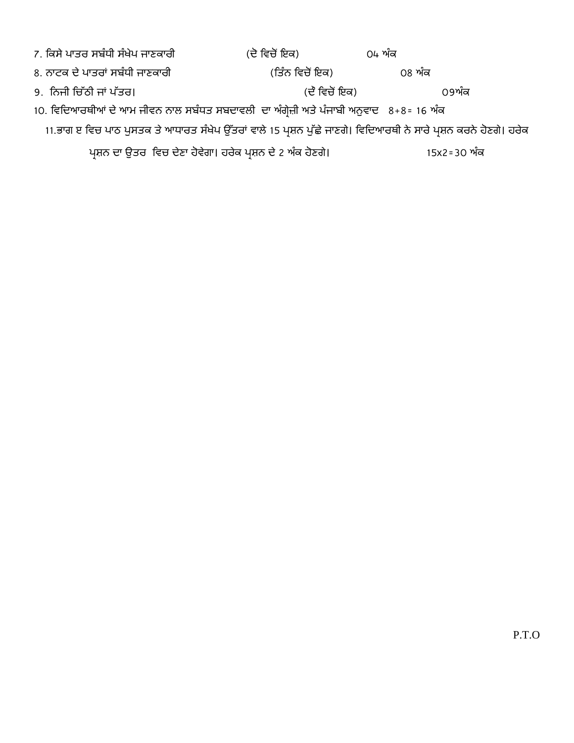| 7. ਕਿਸੇ ਪਾਤਰ ਸਬੰਧੀ ਸੰਖੇਪ ਜਾਣਕਾਰੀ                                                                                  | (ਦੇ ਵਿਚੋਂ ਇਕ)   | 04 ਅੰਕ      |  |
|-------------------------------------------------------------------------------------------------------------------|-----------------|-------------|--|
| 8. ਨਾਟਕ ਦੇ ਪਾਤਰਾਂ ਸਬੰਧੀ ਜਾਣਕਾਰੀ                                                                                   | (ਤਿੰਨ ਵਿਚੋਂ ਇਕ) | 08 ਅੰਕ      |  |
| 9. ਨਿਜੀ ਚਿੱਠੀ ਜਾਂ ਪੱਤਰ।                                                                                           | (ਦੇ ਵਿਚੋਂ ਇਕ)   | 09ਅੰਕ       |  |
| 10. ਵਿਦਿਆਰਥੀਆਂ ਦੇ ਆਮ ਜੀਵਨ ਨਾਲ ਸਬੰਧਤ ਸਬਦਾਵਲੀ ਦਾ ਅੰਗ੍ਰੇਜ਼ੀ ਅਤੇ ਪੰਜਾਬੀ ਅਨੁਵਾਦ 8+8= 16 ਅੰਕ                            |                 |             |  |
| 11.ਭਾਗ ੲ ਵਿਚ ਪਾਠ ਪੁਸਤਕ ਤੇ ਆਧਾਰਤ ਸੰਖੇਪ ਉੱਤਰਾਂ ਵਾਲੇ 15 ਪ੍ਰਸ਼ਨ ਪੁੱਛੇ ਜਾਣਗੇ। ਵਿਦਿਆਰਥੀ ਨੇ ਸਾਰੇ ਪ੍ਰਸ਼ਨ ਕਰਨੇ ਹੋਣਗੇ। ਹਰੇਕ |                 |             |  |
| ਪ੍ਰਸ਼ਨ ਦਾ ਉਤਰ ਵਿਚ ਦੇਣਾ ਹੋਵੇਗਾ। ਹਰੇਕ ਪ੍ਰਸ਼ਨ ਦੇ 2 ਅੰਕ ਹੋਣਗੇ।                                                        |                 | 15x2=30 ਅੰਕ |  |
|                                                                                                                   |                 |             |  |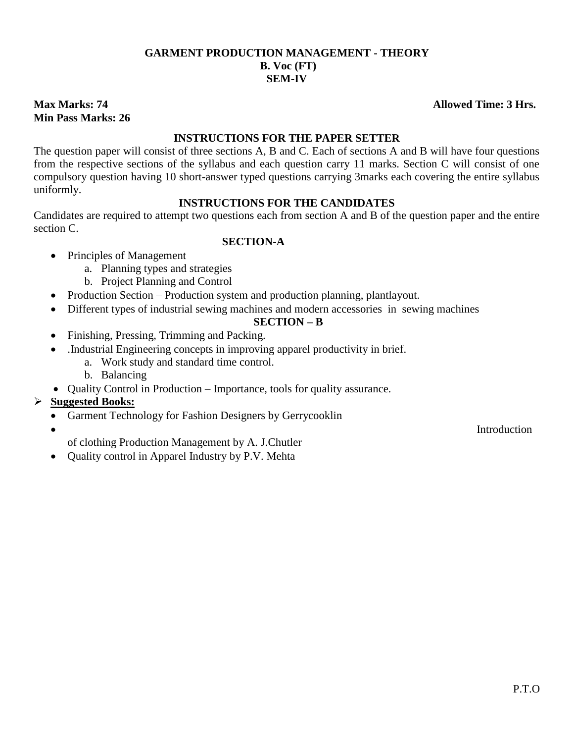# **GARMENT PRODUCTION MANAGEMENT - THEORY B. Voc (FT) SEM-IV**

# **Min Pass Marks: 26**

# **INSTRUCTIONS FOR THE PAPER SETTER**

The question paper will consist of three sections A, B and C. Each of sections A and B will have four questions from the respective sections of the syllabus and each question carry 11 marks. Section C will consist of one compulsory question having 10 short-answer typed questions carrying 3marks each covering the entire syllabus uniformly.

# **INSTRUCTIONS FOR THE CANDIDATES**

Candidates are required to attempt two questions each from section A and B of the question paper and the entire section C.

#### **SECTION-A**

- Principles of Management
	- a. Planning types and strategies
	- b. Project Planning and Control
- Production Section Production system and production planning, plantlayout.
- Different types of industrial sewing machines and modern accessories in sewing machines

# **SECTION – B**

- Finishing, Pressing, Trimming and Packing.
- .Industrial Engineering concepts in improving apparel productivity in brief.
	- a. Work study and standard time control.
	- b. Balancing
- Quality Control in Production Importance, tools for quality assurance.

# **Suggested Books:**

- Garment Technology for Fashion Designers by Gerrycooklin
- 

of clothing Production Management by A. J.Chutler

Quality control in Apparel Industry by P.V. Mehta

**Max Marks: 74 Allowed Time: 3 Hrs.**

**•** Introduction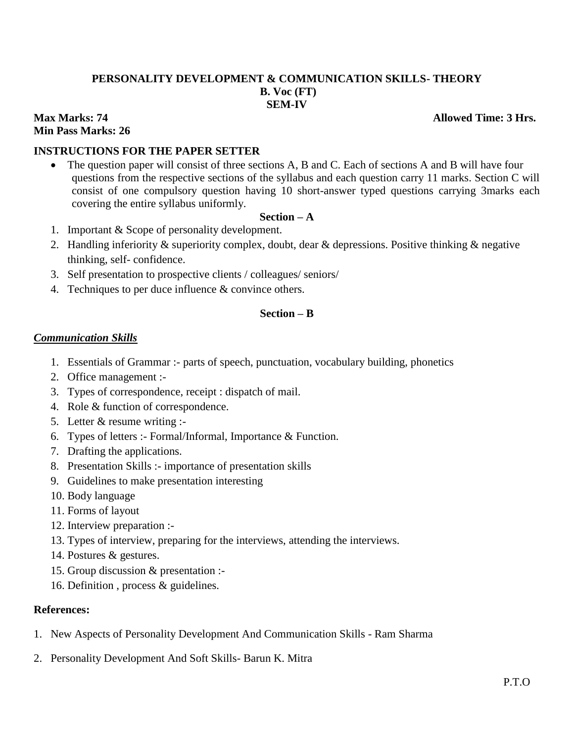#### **PERSONALITY DEVELOPMENT & COMMUNICATION SKILLS- THEORY B. Voc (FT) SEM-IV**

# **Min Pass Marks: 26**

#### **Max Marks: 74** Allowed Time: 3 Hrs.

### **INSTRUCTIONS FOR THE PAPER SETTER**

• The question paper will consist of three sections A, B and C. Each of sections A and B will have four questions from the respective sections of the syllabus and each question carry 11 marks. Section C will consist of one compulsory question having 10 short-answer typed questions carrying 3marks each covering the entire syllabus uniformly.

#### **Section – A**

- 1. Important & Scope of personality development.
- 2. Handling inferiority & superiority complex, doubt, dear & depressions. Positive thinking & negative thinking, self- confidence.
- 3. Self presentation to prospective clients / colleagues/ seniors/
- 4. Techniques to per duce influence & convince others.

#### **Section – B**

#### *Communication Skills*

- 1. Essentials of Grammar :- parts of speech, punctuation, vocabulary building, phonetics
- 2. Office management :-
- 3. Types of correspondence, receipt : dispatch of mail.
- 4. Role & function of correspondence.
- 5. Letter & resume writing :-
- 6. Types of letters :- Formal/Informal, Importance & Function.
- 7. Drafting the applications.
- 8. Presentation Skills :- importance of presentation skills
- 9. Guidelines to make presentation interesting
- 10. Body language
- 11. Forms of layout
- 12. Interview preparation :-
- 13. Types of interview, preparing for the interviews, attending the interviews.
- 14. Postures & gestures.
- 15. Group discussion & presentation :-
- 16. Definition , process & guidelines.

#### **References:**

- 1. New Aspects of Personality Development And Communication Skills Ram Sharma
- 2. Personality Development And Soft Skills- Barun K. Mitra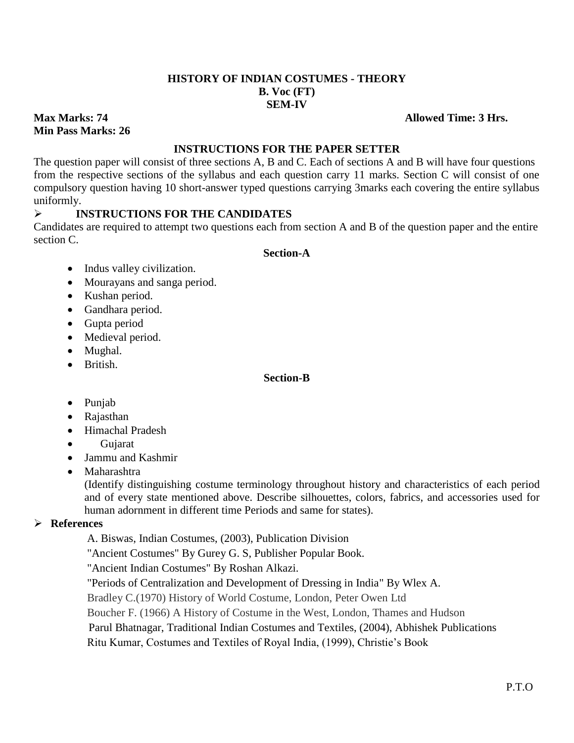#### **HISTORY OF INDIAN COSTUMES - THEORY B. Voc (FT) SEM-IV**

#### **Max Marks: 74 Allowed Time: 3 Hrs.**

# **Min Pass Marks: 26**

#### **INSTRUCTIONS FOR THE PAPER SETTER**

The question paper will consist of three sections A, B and C. Each of sections A and B will have four questions from the respective sections of the syllabus and each question carry 11 marks. Section C will consist of one compulsory question having 10 short-answer typed questions carrying 3marks each covering the entire syllabus uniformly.

# **INSTRUCTIONS FOR THE CANDIDATES**

Candidates are required to attempt two questions each from section A and B of the question paper and the entire section C.

#### **Section-A**

- Indus valley civilization.
- Mourayans and sanga period.
- Kushan period.
- Gandhara period.
- Gupta period
- Medieval period.
- Mughal.
- British.

#### **Section-B**

- Punjab
- Rajasthan
- Himachal Pradesh
- Gujarat
- Jammu and Kashmir
- Maharashtra

(Identify distinguishing costume terminology throughout history and characteristics of each period and of every state mentioned above. Describe silhouettes, colors, fabrics, and accessories used for human adornment in different time Periods and same for states).

# **References**

A. Biswas, Indian Costumes, (2003), Publication Division

"Ancient Costumes" By Gurey G. S, Publisher Popular Book.

"Ancient Indian Costumes" By Roshan Alkazi.

"Periods of Centralization and Development of Dressing in India" By Wlex A.

Bradley C.(1970) History of World Costume, London, Peter Owen Ltd

Boucher F. (1966) A History of Costume in the West, London, Thames and Hudson

Parul Bhatnagar, Traditional Indian Costumes and Textiles, (2004), Abhishek Publications

Ritu Kumar, Costumes and Textiles of Royal India, (1999), Christie's Book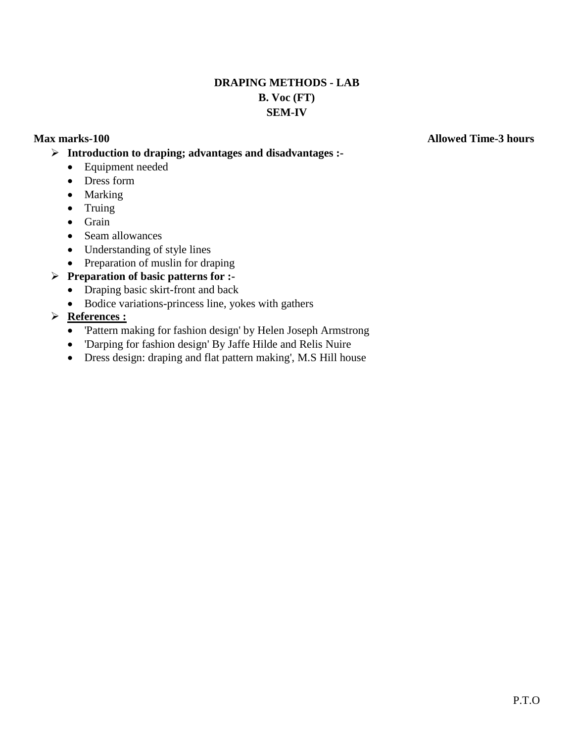# **DRAPING METHODS - LAB B. Voc (FT) SEM-IV**

#### **Max marks-100 Allowed Time-3 hours**

**Introduction to draping; advantages and disadvantages :-**

- Equipment needed
- Dress form
- Marking
- $\bullet$  Truing
- Grain
- Seam allowances
- Understanding of style lines
- Preparation of muslin for draping

# **Preparation of basic patterns for :-**

- Draping basic skirt-front and back
- Bodice variations-princess line, yokes with gathers

# **References :**

- 'Pattern making for fashion design' by Helen Joseph Armstrong
- 'Darping for fashion design' By Jaffe Hilde and Relis Nuire
- Dress design: draping and flat pattern making', M.S Hill house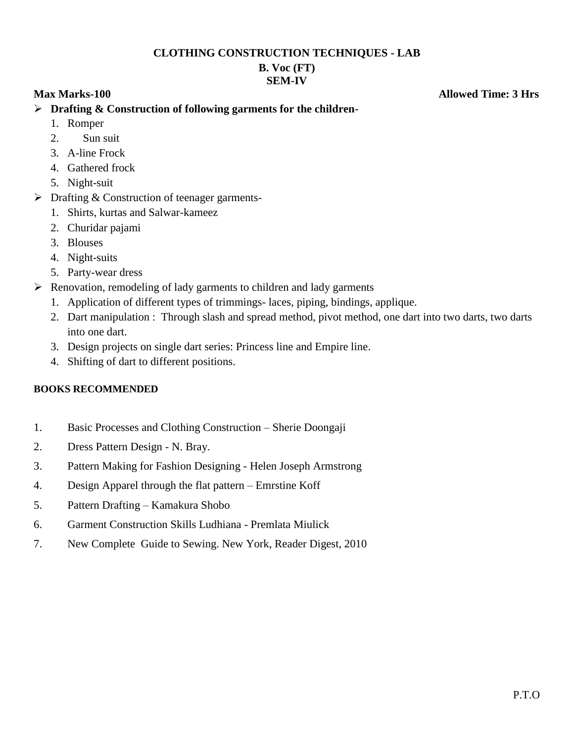#### **CLOTHING CONSTRUCTION TECHNIQUES - LAB**

### **B. Voc (FT) SEM-IV**

**Max Marks-100 Allowed Time: 3 Hrs** 

- **Drafting & Construction of following garments for the children-**
	- 1. Romper
	- 2. Sun suit
	- 3. A-line Frock
	- 4. Gathered frock
	- 5. Night-suit
- $\triangleright$  Drafting & Construction of teenager garments-
	- 1. Shirts, kurtas and Salwar-kameez
	- 2. Churidar pajami
	- 3. Blouses
	- 4. Night-suits
	- 5. Party-wear dress
- $\triangleright$  Renovation, remodeling of lady garments to children and lady garments
	- 1. Application of different types of trimmings- laces, piping, bindings, applique.
	- 2. Dart manipulation : Through slash and spread method, pivot method, one dart into two darts, two darts into one dart.
	- 3. Design projects on single dart series: Princess line and Empire line.
	- 4. Shifting of dart to different positions.

# **BOOKS RECOMMENDED**

- 1. Basic Processes and Clothing Construction Sherie Doongaji
- 2. Dress Pattern Design N. Bray.
- 3. Pattern Making for Fashion Designing Helen Joseph Armstrong
- 4. Design Apparel through the flat pattern Emrstine Koff
- 5. Pattern Drafting Kamakura Shobo
- 6. Garment Construction Skills Ludhiana Premlata Miulick
- 7. New Complete Guide to Sewing. New York, Reader Digest, 2010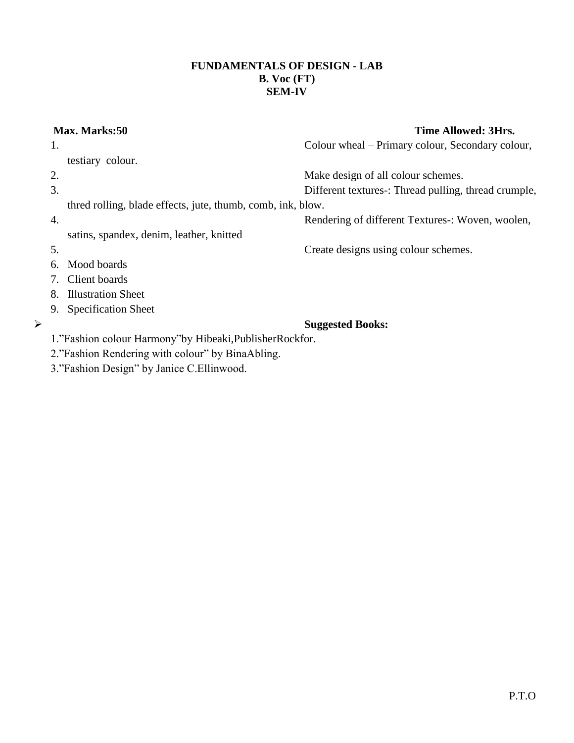#### **FUNDAMENTALS OF DESIGN - LAB B. Voc (FT) SEM-IV**

# **Max. Marks:50 Time Allowed: 3Hrs.**  1. Colour wheal – Primary colour, Secondary colour, testiary colour. 2. Make design of all colour schemes. 3. Different textures-: Thread pulling, thread crumple, thred rolling, blade effects, jute, thumb, comb, ink, blow. 4. Rendering of different Textures-: Woven, woolen, satins, spandex, denim, leather, knitted 5. Create designs using colour schemes. 6. Mood boards 7. Client boards 8. Illustration Sheet 9. Specification Sheet **Suggested Books:** 1."Fashion colour Harmony"by Hibeaki,PublisherRockfor. 2."Fashion Rendering with colour" by BinaAbling. 3."Fashion Design" by Janice C.Ellinwood.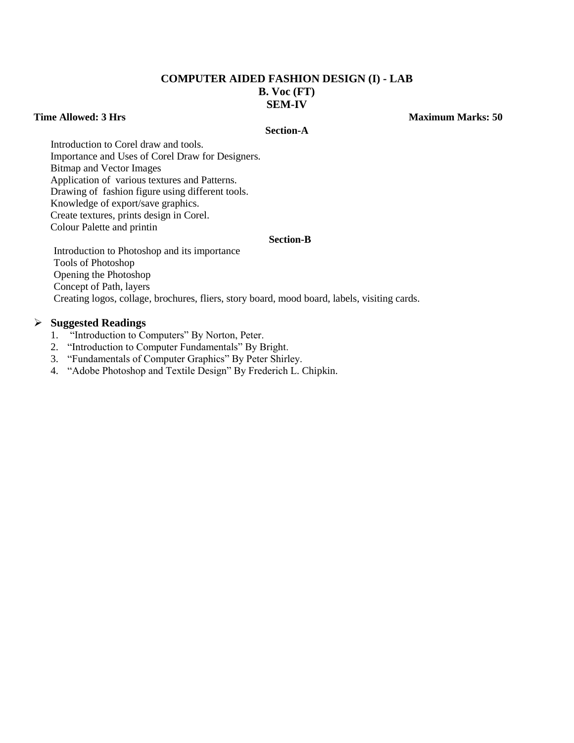#### **COMPUTER AIDED FASHION DESIGN (I) - LAB B. Voc (FT) SEM-IV**

#### **Time Allowed: 3 Hrs** Maximum Marks: 50

#### **Section-A**

Introduction to Corel draw and tools. Importance and Uses of Corel Draw for Designers. Bitmap and Vector Images Application of various textures and Patterns. Drawing of fashion figure using different tools. Knowledge of export/save graphics. Create textures, prints design in Corel. Colour Palette and printin

#### **Section-B**

Introduction to Photoshop and its importance Tools of Photoshop Opening the Photoshop Concept of Path, layers Creating logos, collage, brochures, fliers, story board, mood board, labels, visiting cards.

#### **Suggested Readings**

- 1. "Introduction to Computers" By Norton, Peter.
- 2. "Introduction to Computer Fundamentals" By Bright.
- 3. "Fundamentals of Computer Graphics" By Peter Shirley.
- 4. "Adobe Photoshop and Textile Design" By Frederich L. Chipkin.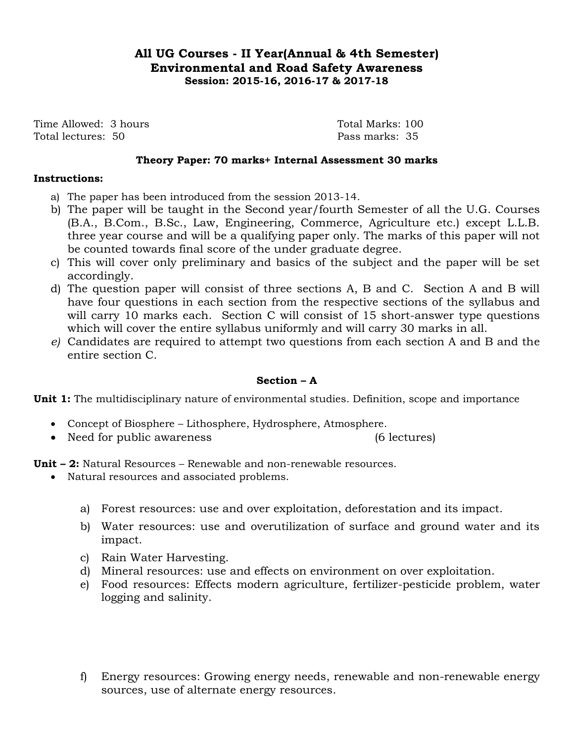# **All UG Courses - II Year(Annual & 4th Semester) Environmental and Road Safety Awareness Session: 2015-16, 2016-17 & 2017-18**

Time Allowed: 3 hours Time Allowed: 3 hours Total lectures: 50 Pass marks: 35

#### **Theory Paper: 70 marks+ Internal Assessment 30 marks**

#### **Instructions:**

- a) The paper has been introduced from the session 2013-14.
- b) The paper will be taught in the Second year/fourth Semester of all the U.G. Courses (B.A., B.Com., B.Sc., Law, Engineering, Commerce, Agriculture etc.) except L.L.B. three year course and will be a qualifying paper only. The marks of this paper will not be counted towards final score of the under graduate degree.
- c) This will cover only preliminary and basics of the subject and the paper will be set accordingly.
- d) The question paper will consist of three sections A, B and C. Section A and B will have four questions in each section from the respective sections of the syllabus and will carry 10 marks each. Section C will consist of 15 short-answer type questions which will cover the entire syllabus uniformly and will carry 30 marks in all.
- *e)* Candidates are required to attempt two questions from each section A and B and the entire section C.

#### **Section – A**

**Unit 1:** The multidisciplinary nature of environmental studies. Definition, scope and importance

- Concept of Biosphere Lithosphere, Hydrosphere, Atmosphere.
- Need for public awareness (6 lectures)

**Unit – 2:** Natural Resources – Renewable and non-renewable resources.

- Natural resources and associated problems.
	- a) Forest resources: use and over exploitation, deforestation and its impact.
	- b) Water resources: use and overutilization of surface and ground water and its impact.
	- c) Rain Water Harvesting.
	- d) Mineral resources: use and effects on environment on over exploitation.
	- e) Food resources: Effects modern agriculture, fertilizer-pesticide problem, water logging and salinity.
	- f) Energy resources: Growing energy needs, renewable and non-renewable energy sources, use of alternate energy resources.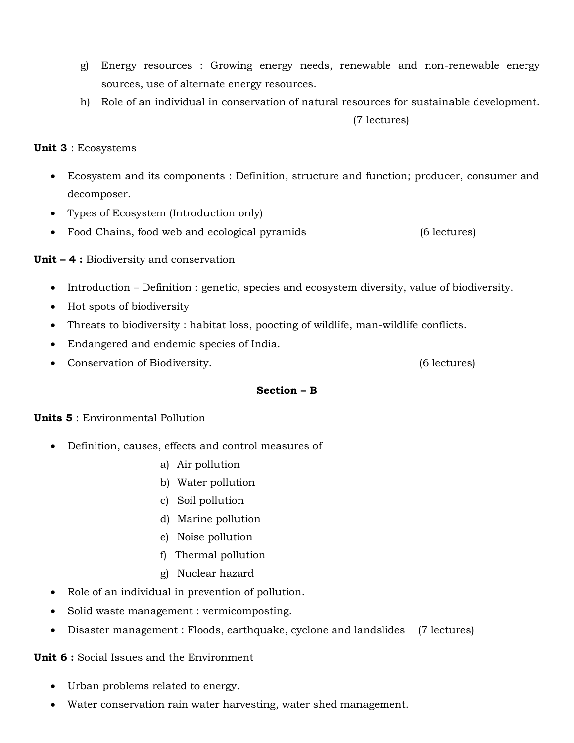- g) Energy resources : Growing energy needs, renewable and non-renewable energy sources, use of alternate energy resources.
- h) Role of an individual in conservation of natural resources for sustainable development. (7 lectures)

**Unit 3** : Ecosystems

- Ecosystem and its components : Definition, structure and function; producer, consumer and decomposer.
- Types of Ecosystem (Introduction only)
- Food Chains, food web and ecological pyramids (6 lectures)

**Unit – 4 :** Biodiversity and conservation

- Introduction Definition : genetic, species and ecosystem diversity, value of biodiversity.
- Hot spots of biodiversity
- Threats to biodiversity : habitat loss, poocting of wildlife, man-wildlife conflicts.
- Endangered and endemic species of India.
- Conservation of Biodiversity. (6 lectures)

#### **Section – B**

#### **Units 5** : Environmental Pollution

- Definition, causes, effects and control measures of
	- a) Air pollution
	- b) Water pollution
	- c) Soil pollution
	- d) Marine pollution
	- e) Noise pollution
	- f) Thermal pollution
	- g) Nuclear hazard
- Role of an individual in prevention of pollution.
- Solid waste management : vermicomposting.
- Disaster management : Floods, earthquake, cyclone and landslides (7 lectures)

#### **Unit 6 :** Social Issues and the Environment

- Urban problems related to energy.
- Water conservation rain water harvesting, water shed management.